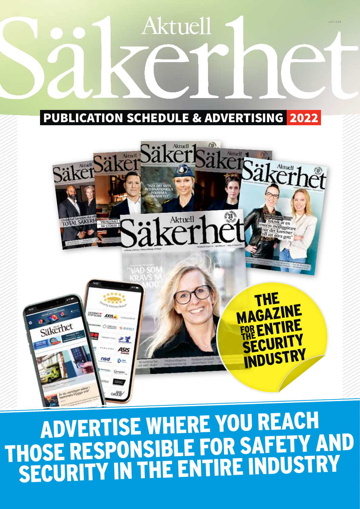# **Aktuell** v211228 PUBLICATION SCHEDULE & ADVERTISING 2022 Aktuell Säker Aktuell



ADVERTISE WHERE YOU REACH those RESPONSIBLE for safety and SECURITY IN THE ENTIRE INDUSTRY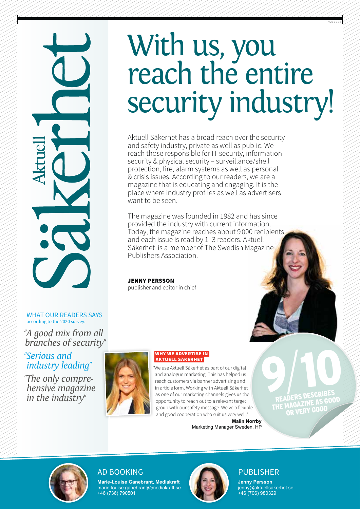# With us, you reach the entire security industry!

Aktuell Säkerhet has a broad reach over the security and safety industry, private as well as public. We reach those responsible for IT security, information security & physical security – surveillance/shell protection, fire, alarm systems as well as personal & crisis issues. According to our readers, we are a magazine that is educating and engaging. It is the place where industry profiles as well as advertisers want to be seen.

The magazine was founded in 1982 and has since provided the industry with current information. Today, the magazine reaches about 9 000 recipients and each issue is read by 1–3 readers. Aktuell Säkerhet is a member of The Swedish Magazine Publishers Association.

Jenny Persson

publisher and editor in chief



 $\overline{\mathcal{C}}$ 

"*A good mix from all branches of security*"

"*Serious and industry leading*"

"*The only comprehensive magazine in the industry*"

# why we advertise in **AKTUELL SÄKERHET**

"We use Aktuell Säkerhet as part of our digital and analogue marketing. This has helped us reach customers via banner advertising and in article form. Working with Aktuell Säkerhet as one of our marketing channels gives us the opportunity to reach out to a relevant target group with our safety message. We've a flexible and good cooperation who suit us very well."

**Malin Norrby** Marketing Manager Sweden, HP

**9/10** READERS DESCRIBES **THE MAGAZINE AS GOOD** OR VERY GOOD

v211228



**Marie-Louise Ganebrant, Mediakraft** marie-louise.ganebrant@mediakraft.se +46 (736) 790501

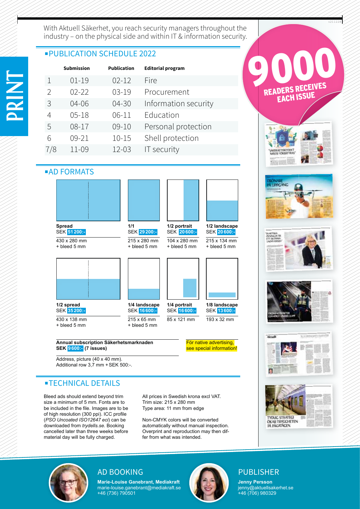With Aktuell Säkerhet, you reach security managers throughout the industry – on the physical side and within IT & information security.

# ■ PUBLICATION SCHEDULE 2022

|     | <b>Submission</b> | <b>Publication</b> | <b>Editorial program</b> |
|-----|-------------------|--------------------|--------------------------|
|     | $01 - 19$         | $02 - 12$          | Fire                     |
| 2   | $02 - 22$         | $03 - 19$          | Procurement              |
| 3   | 04-06             | 04-30              | Information security     |
| 4   | $05 - 18$         | 06-11              | Education                |
| 5   | 08-17             | $09 - 10$          | Personal protection      |
| 6   | 09-21             | $10 - 15$          | Shell protection         |
| 7/8 | 11-09             | $12 - 03$          | IT security              |
|     |                   |                    |                          |





Address, picture (40 x 40 mm). Additional row  $3.7$  mm + SEK 500:-.

# ■TECHNICAL DETAILS

Bleed ads should extend beyond trim size a minimum of 5 mm. Fonts are to be included in the file. Images are to be of high resolution (300 ppi). ICC profile (*PSO Uncoated ISO12647 eci*) can be downloaded from *trydells.se*. Booking cancelled later than three weeks before material day will be fully charged.

All prices in Swedish krona excl VAT. Trim size: 215 x 280 mm Type area: 11 mm from edge

Non-CMYK colors will be converted automatically without manual inspection. Overprint and reproduction may then differ from what was intended.



v211228











**Marie-Louise Ganebrant, Mediakraft** marie-louise.ganebrant@mediakraft.se +46 (736) 790501

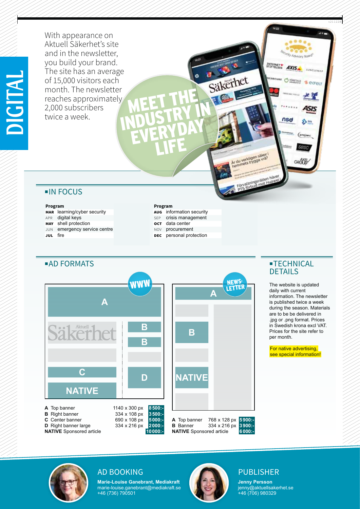With appearance on Aktuell Säkerhet's site and in the newsletter, you build your brand. The site has an average of 15,000 visitors each month. The newsletter reaches approximately 2,000 subscribers twice a week. INDUSTRY IN

# ■IN FOCUS

# **Program**

- **MAR** learning/cyber security
- APR digital keys
- **MAY** shell protection
- JUN emergency service centre
- **jul** fire **16-28 06-28 06-30-28 06-30-28 06-30-28**

# **Program**

MEET THE

EVERYDAY

life

- **aug** information security
- sep crisis management
- **oct** data center
- NOV procurement
- **DEC** personal protection



# **DETAILS**

The website is updated daily with current information. The newsletter is published twice a week during the season. Materials are to be be delivered in .jpg or .png format. Prices in Swedish krona excl VAT. Prices for the site refer to per month.

For native advertising, see special information! v211228

 $\overline{1}$ 

**JUNCLEMAN** 

**&** ecreur

SIS

103

GROY

u sa

**INTERNETWERER** 

lets trygga vrå

Säkerhet

AXIS

nsd



**Marie-Louise Ganebrant, Mediakraft** marie-louise.ganebrant@mediakraft.se +46 (736) 790501